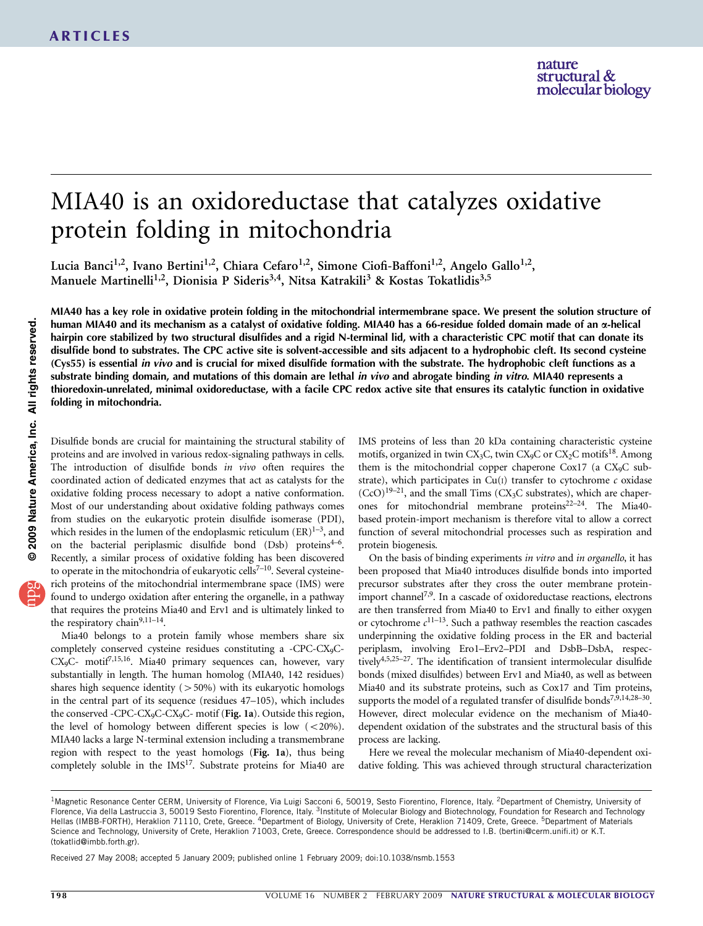# MIA40 is an oxidoreductase that catalyzes oxidative protein folding in mitochondria

Lucia Banci<sup>1,2</sup>, Ivano Bertini<sup>1,2</sup>, Chiara Cefaro<sup>1,2</sup>, Simone Ciofi-Baffoni<sup>1,2</sup>, Angelo Gallo<sup>1,2</sup>, Manuele Martinelli<sup>1,2</sup>, Dionisia P Sideris<sup>3,4</sup>, Nitsa Katrakili<sup>3</sup> & Kostas Tokatlidis<sup>3,5</sup>

MIA40 has a key role in oxidative protein folding in the mitochondrial intermembrane space. We present the solution structure of human MIA40 and its mechanism as a catalyst of oxidative folding. MIA40 has a 66-residue folded domain made of an *a*-helical hairpin core stabilized by two structural disulfides and a rigid N-terminal lid, with a characteristic CPC motif that can donate its disulfide bond to substrates. The CPC active site is solvent-accessible and sits adjacent to a hydrophobic cleft. Its second cysteine (Cys55) is essential in vivo and is crucial for mixed disulfide formation with the substrate. The hydrophobic cleft functions as a substrate binding domain, and mutations of this domain are lethal *in vivo* and abrogate binding *in vitro*. MIA40 represents a thioredoxin-unrelated, minimal oxidoreductase, with a facile CPC redox active site that ensures its catalytic function in oxidative folding in mitochondria.

Disulfide bonds are crucial for maintaining the structural stability of proteins and are involved in various redox-signaling pathways in cells. The introduction of disulfide bonds in vivo often requires the coordinated action of dedicated enzymes that act as catalysts for the oxidative folding process necessary to adopt a native conformation. Most of our understanding about oxidative folding pathways comes from studies on the eukaryotic protein disulfide isomerase (PDI), which resides in the lumen of the endoplasmic reticulum  $(ER)^{1-3}$ , and on the bacterial periplasmic disulfide bond (Dsb) proteins<sup>4-6</sup>. Recently, a similar process of oxidative folding has been discovered to operate in the mitochondria of eukaryotic cells<sup>7-10</sup>. Several cysteinerich proteins of the mitochondrial intermembrane space (IMS) were found to undergo oxidation after entering the organelle, in a pathway that requires the proteins Mia40 and Erv1 and is ultimately linked to the respiratory chain<sup>9,11-14</sup>.

Mia40 belongs to a protein family whose members share six completely conserved cysteine residues constituting a -CPC-CX9C-CX<sub>9</sub>C- motif<sup>7,15,16</sup>. Mia40 primary sequences can, however, vary substantially in length. The human homolog (MIA40, 142 residues) shares high sequence identity  $(>50%)$  with its eukaryotic homologs in the central part of its sequence (residues 47–105), which includes the conserved -CPC-CX<sub>9</sub>C-CX<sub>9</sub>C- motif (Fig. 1a). Outside this region, the level of homology between different species is low  $(<20\%)$ . MIA40 lacks a large N-terminal extension including a transmembrane region with respect to the yeast homologs (Fig. 1a), thus being completely soluble in the IMS<sup>17</sup>. Substrate proteins for Mia40 are IMS proteins of less than 20 kDa containing characteristic cysteine motifs, organized in twin CX<sub>3</sub>C, twin CX<sub>9</sub>C or CX<sub>2</sub>C motifs<sup>18</sup>. Among them is the mitochondrial copper chaperone Cox17 (a CX<sub>9</sub>C substrate), which participates in  $Cu(I)$  transfer to cytochrome  $c$  oxidase  $(CcO)^{19-21}$ , and the small Tims  $(CX_3C$  substrates), which are chaperones for mitochondrial membrane protein[s22–24.](#page-8-0) The Mia40 based protein-import mechanism is therefore vital to allow a correct function of several mitochondrial processes such as respiration and protein biogenesis.

On the basis of binding experiments in vitro and in organello, it has been proposed that Mia40 introduces disulfide bonds into imported precursor substrates after they cross the outer membrane proteinimport channel<sup>7,9</sup>. In a cascade of oxidoreductase reactions, electrons are then transferred from Mia40 to Erv1 and finally to either oxygen or cytochrome  $c^{11-13}$ . Such a pathway resembles the reaction cascades underpinning the oxidative folding process in the ER and bacterial periplasm, involving Ero1–Erv2–PDI and DsbB–DsbA, respectively[4,5,25–27.](#page-8-0) The identification of transient intermolecular disulfide bonds (mixed disulfides) between Erv1 and Mia40, as well as between Mia40 and its substrate proteins, such as Cox17 and Tim proteins, supports the model of a regulated transfer of disulfide bonds<sup>7,9,14,28–30</sup>. However, direct molecular evidence on the mechanism of Mia40 dependent oxidation of the substrates and the structural basis of this process are lacking.

Here we reveal the molecular mechanism of Mia40-dependent oxidative folding. This was achieved through structural characterization

Received 27 May 2008; accepted 5 January 2009; published online 1 February 2009; [doi:10.1038/nsmb.1553](http://www.nature.com/doifinder/10.1038/nsmb.1553)

<sup>&</sup>lt;sup>1</sup>Magnetic Resonance Center CERM, University of Florence, Via Luigi Sacconi 6, 50019, Sesto Fiorentino, Florence, Italy. <sup>2</sup>Department of Chemistry, University of Florence, Via della Lastruccia 3, 50019 Sesto Fiorentino, Florence, Italy. <sup>3</sup>Institute of Molecular Biology and Biotechnology, Foundation for Research and Technology Hellas (IMBB-FORTH), Heraklion 71110, Crete, Greece. <sup>4</sup>Department of Biology, University of Crete, Heraklion 71409, Crete, Greece. <sup>5</sup>Department of Materials Science and Technology, University of Crete, Heraklion 71003, Crete, Greece. Correspondence should be addressed to I.B. ([bertini@cerm.unifi.it\)](mailto:bertini@cerm.unifi.it) or K.T. [\(tokatlid@imbb.forth.gr\)](mailto:tokatlid@imbb.forth.gr).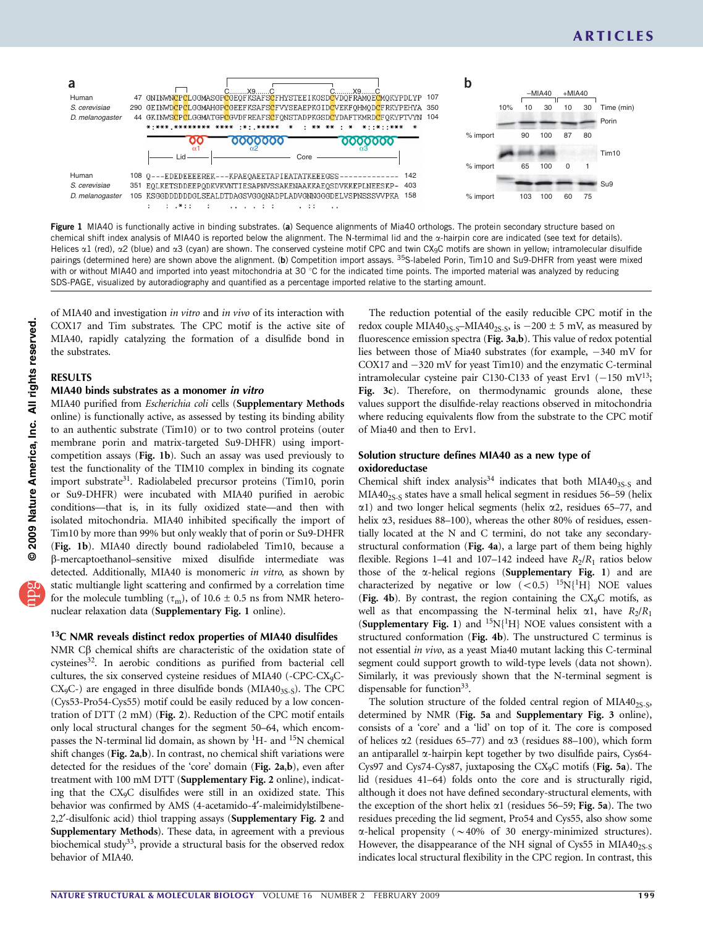

Figure 1 MIA40 is functionally active in binding substrates. (a) Sequence alignments of Mia40 orthologs. The protein secondary structure based on chemical shift index analysis of MIA40 is reported below the alignment. The N-termimal lid and the  $\alpha$ -hairpin core are indicated (see text for details). Helices α1 (red), α2 (blue) and α3 (cyan) are shown. The conserved cysteine motif CPC and twin CX<sub>9</sub>C motifs are shown in yellow; intramolecular disulfide pairings (determined here) are shown above the alignment. (b) Competition import assays. <sup>35</sup>S-labeled Porin, Tim10 and Su9-DHFR from yeast were mixed with or without MIA40 and imported into yeast mitochondria at 30  $^{\circ}$ C for the indicated time points. The imported material was analyzed by reducing SDS-PAGE, visualized by autoradiography and quantified as a percentage imported relative to the starting amount.

of MIA40 and investigation in vitro and in vivo of its interaction with COX17 and Tim substrates. The CPC motif is the active site of MIA40, rapidly catalyzing the formation of a disulfide bond in the substrates.

## RESULTS

### MIA40 binds substrates as a monomer in vitro

MIA40 purified from Escherichia coli cells (Supplementary Methods online) is functionally active, as assessed by testing its binding ability to an authentic substrate (Tim10) or to two control proteins (outer membrane porin and matrix-targeted Su9-DHFR) using importcompetition assays (Fig. 1b). Such an assay was used previously to test the functionality of the TIM10 complex in binding its cognate import substrate<sup>31</sup>. Radiolabeled precursor proteins (Tim10, porin or Su9-DHFR) were incubated with MIA40 purified in aerobic conditions—that is, in its fully oxidized state—and then with isolated mitochondria. MIA40 inhibited specifically the import of Tim10 by more than 99% but only weakly that of porin or Su9-DHFR (Fig. 1b). MIA40 directly bound radiolabeled Tim10, because a b-mercaptoethanol–sensitive mixed disulfide intermediate was detected. Additionally, MIA40 is monomeric in vitro, as shown by static multiangle light scattering and confirmed by a correlation time for the molecule tumbling ( $\tau_{\text{m}}$ ), of 10.6  $\pm$  0.5 ns from NMR heteronuclear relaxation data (Supplementary Fig. 1 online).

## $13C$  NMR reveals distinct redox properties of MIA40 disulfides

NMR  $C\beta$  chemical shifts are characteristic of the oxidation state of cysteines<sup>32</sup>. In aerobic conditions as purified from bacterial cell cultures, the six conserved cysteine residues of MIA40 (-CPC-CX9C- $CX_9C$ -) are engaged in three disulfide bonds (MIA40 $_{3S-S}$ ). The CPC (Cys53-Pro54-Cys55) motif could be easily reduced by a low concentration of DTT (2 mM) (Fig. 2). Reduction of the CPC motif entails only local structural changes for the segment 50–64, which encompasses the N-terminal lid domain, as shown by  ${}^{1}H$ - and  ${}^{15}N$  chemical shift changes (Fig. 2a,b). In contrast, no chemical shift variations were detected for the residues of the 'core' domain (Fig. 2a,b), even after treatment with 100 mM DTT (Supplementary Fig. 2 online), indicating that the CX9C disulfides were still in an oxidized state. This behavior was confirmed by AMS (4-acetamido-4'-maleimidylstilbene-2,2'-disulfonic acid) thiol trapping assays (Supplementary Fig. 2 and Supplementary Methods). These data, in agreement with a previous biochemical study<sup>[33](#page-8-0)</sup>, provide a structural basis for the observed redox behavior of MIA40.

The reduction potential of the easily reducible CPC motif in the redox couple MIA40<sub>3S-S</sub>-MIA40<sub>2S-S</sub>, is  $-200 \pm 5$  mV, as measured by fluorescence emission spectra (Fig. 3a,b). This value of redox potential lies between those of Mia40 substrates (for example,  $-340$  mV for COX17 and  $-320$  mV for yeast Tim10) and the enzymatic C-terminal intramolecular cysteine pair C130-C133 of yeast Erv1  $(-150 \text{ mV}^{13})$ ; Fig. 3c). Therefore, on thermodynamic grounds alone, these values support the disulfide-relay reactions observed in mitochondria where reducing equivalents flow from the substrate to the CPC motif of Mia40 and then to Erv1.

### Solution structure defines MIA40 as a new type of oxidoreductase

Chemical shift index analysis<sup>34</sup> indicates that both MIA40<sub>3S-S</sub> and MIA40<sub>2S-S</sub> states have a small helical segment in residues 56–59 (helix  $\alpha$ 1) and two longer helical segments (helix  $\alpha$ 2, residues 65–77, and helix  $\alpha$ 3, residues 88-100), whereas the other 80% of residues, essentially located at the N and C termini, do not take any secondarystructural conformation (Fig. 4a), a large part of them being highly flexible. Regions 1–41 and 107–142 indeed have  $R_2/R_1$  ratios below those of the  $\alpha$ -helical regions (Supplementary Fig. 1) and are characterized by negative or low  $(<0.5)$  <sup>15</sup>N{<sup>1</sup>H} NOE values (Fig. 4b). By contrast, the region containing the  $CX_9C$  motifs, as well as that encompassing the N-terminal helix  $\alpha$ 1, have  $R_2/R_1$ (Supplementary Fig. 1) and  ${}^{15}N{^1H}$  NOE values consistent with a structured conformation (Fig. 4b). The unstructured C terminus is not essential *in vivo*, as a yeast Mia40 mutant lacking this C-terminal segment could support growth to wild-type levels (data not shown). Similarly, it was previously shown that the N-terminal segment is dispensable for function<sup>33</sup>.

The solution structure of the folded central region of  $MIA40_{2S-S}$ , determined by NMR (Fig. 5a and Supplementary Fig. 3 online), consists of a 'core' and a 'lid' on top of it. The core is composed of helices  $\alpha$ 2 (residues 65–77) and  $\alpha$ 3 (residues 88–100), which form an antiparallel  $\alpha$ -hairpin kept together by two disulfide pairs, Cys64-Cys97 and Cys74-Cys87, juxtaposing the CX<sub>9</sub>C motifs (Fig. 5a). The lid (residues 41–64) folds onto the core and is structurally rigid, although it does not have defined secondary-structural elements, with the exception of the short helix  $\alpha$ 1 (residues 56–59; Fig. 5a). The two residues preceding the lid segment, Pro54 and Cys55, also show some  $\alpha$ -helical propensity ( $\sim$  40% of 30 energy-minimized structures). However, the disappearance of the NH signal of Cys55 in  $MIA40_{2S-S}$ indicates local structural flexibility in the CPC region. In contrast, this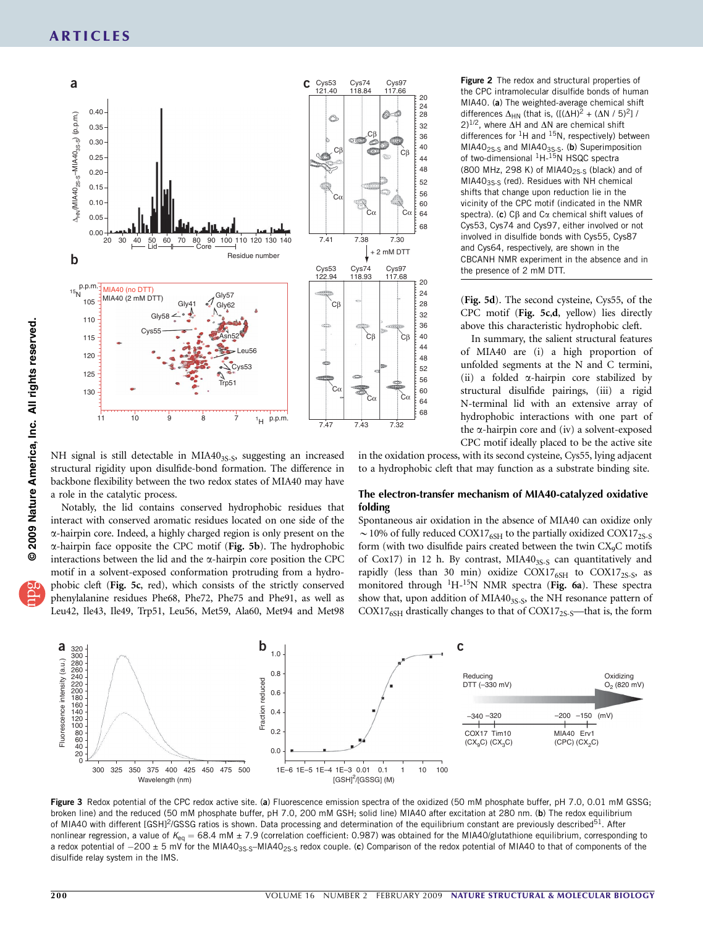

Figure 2 The redox and structural properties of the CPC intramolecular disulfide bonds of human MIA40. (a) The weighted-average chemical shift differences  $\Delta_{HN}$  (that is,  $([(\Delta H)^2 + (\Delta N / 5)^2]$ )  $(2)^{1/2}$ , where  $\overline{\Delta H}$  and  $\overline{\Delta N}$  are chemical shift differences for  ${}^{1}H$  and  ${}^{15}N$ , respectively) between MIA40<sub>2S-S</sub> and MIA40<sub>3S-S</sub>. (b) Superimposition of two-dimensional <sup>1</sup>H-<sup>15</sup>N HSQC spectra (800 MHz, 298 K) of MIA40 $_{2S-S}$  (black) and of  $MIA40<sub>3S-S</sub>$  (red). Residues with NH chemical shifts that change upon reduction lie in the vicinity of the CPC motif (indicated in the NMR spectra). (c) C $\beta$  and C $\alpha$  chemical shift values of Cys53, Cys74 and Cys97, either involved or not involved in disulfide bonds with Cys55, Cys87 and Cys64, respectively, are shown in the CBCANH NMR experiment in the absence and in the presence of 2 mM DTT.

(Fig. 5d). The second cysteine, Cys55, of the CPC motif (Fig. 5c,d, yellow) lies directly above this characteristic hydrophobic cleft.

In summary, the salient structural features of MIA40 are (i) a high proportion of unfolded segments at the N and C termini, (ii) a folded a-hairpin core stabilized by structural disulfide pairings, (iii) a rigid N-terminal lid with an extensive array of hydrophobic interactions with one part of the  $\alpha$ -hairpin core and (iv) a solvent-exposed CPC motif ideally placed to be the active site

NH signal is still detectable in MIA40<sub>3S-S</sub>, suggesting an increased structural rigidity upon disulfide-bond formation. The difference in backbone flexibility between the two redox states of MIA40 may have a role in the catalytic process.

Notably, the lid contains conserved hydrophobic residues that interact with conserved aromatic residues located on one side of the a-hairpin core. Indeed, a highly charged region is only present on the  $\alpha$ -hairpin face opposite the CPC motif (Fig. 5b). The hydrophobic interactions between the lid and the  $\alpha$ -hairpin core position the CPC motif in a solvent-exposed conformation protruding from a hydrophobic cleft (Fig. 5c, red), which consists of the strictly conserved phenylalanine residues Phe68, Phe72, Phe75 and Phe91, as well as Leu42, Ile43, Ile49, Trp51, Leu56, Met59, Ala60, Met94 and Met98

in the oxidation process, with its second cysteine, Cys55, lying adjacent to a hydrophobic cleft that may function as a substrate binding site.

### The electron-transfer mechanism of MIA40-catalyzed oxidative folding

Spontaneous air oxidation in the absence of MIA40 can oxidize only  $\sim$  10% of fully reduced COX17<sub>6SH</sub> to the partially oxidized COX17<sub>2S-S</sub> form (with two disulfide pairs created between the twin  $CX<sub>9</sub>C$  motifs of Cox17) in 12 h. By contrast,  $MIA40_{3S-S}$  can quantitatively and rapidly (less than 30 min) oxidize  $COX17<sub>6SH</sub>$  to  $COX17<sub>2S-S</sub>$ , as monitored through <sup>1</sup>H-<sup>15</sup>N NMR spectra (Fig. 6a). These spectra show that, upon addition of MIA4035.5, the NH resonance pattern of COX17<sub>6SH</sub> drastically changes to that of COX17<sub>2S-S</sub>—that is, the form



Figure 3 Redox potential of the CPC redox active site. (a) Fluorescence emission spectra of the oxidized (50 mM phosphate buffer, pH 7.0, 0.01 mM GSSG; broken line) and the reduced (50 mM phosphate buffer, pH 7.0, 200 mM GSH; solid line) MIA40 after excitation at 280 nm. (b) The redox equilibrium of MIA40 with different [GSH]<sup>2</sup>/GSSG ratios is shown. Data processing and determination of the equilibrium constant are previously described<sup>[51](#page-8-0)</sup>. After nonlinear regression, a value of  $K_{eq} = 68.4$  mM  $\pm$  7.9 (correlation coefficient: 0.987) was obtained for the MIA40/glutathione equilibrium, corresponding to a redox potential of  $-200 \pm 5$  mV for the MIA40<sub>3S-S</sub>-MIA40<sub>2S-S</sub> redox couple. (c) Comparison of the redox potential of MIA40 to that of components of the disulfide relay system in the IMS.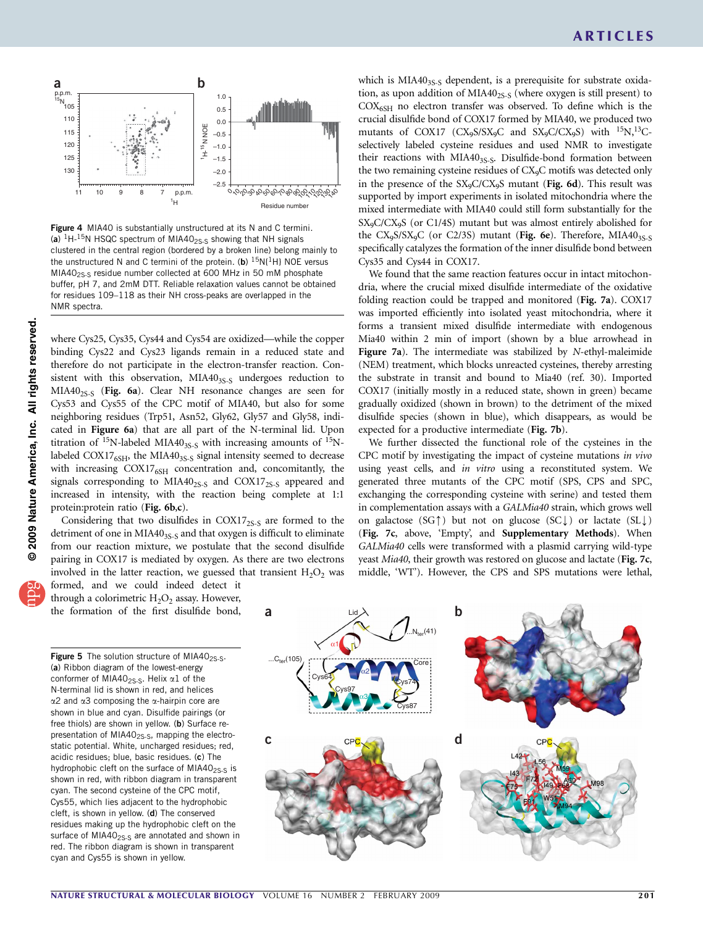

Figure 4 MIA40 is substantially unstructured at its N and C termini. (a)  ${}^{1}$ H- ${}^{15}$ N HSQC spectrum of MIA40<sub>2S-S</sub> showing that NH signals clustered in the central region (bordered by a broken line) belong mainly to the unstructured N and C termini of the protein. (b)  $^{15}N(^{1}H)$  NOE versus MIA40<sub>2S-S</sub> residue number collected at 600 MHz in 50 mM phosphate buffer, pH 7, and 2mM DTT. Reliable relaxation values cannot be obtained for residues 109–118 as their NH cross-peaks are overlapped in the NMR spectra.

where Cys25, Cys35, Cys44 and Cys54 are oxidized—while the copper binding Cys22 and Cys23 ligands remain in a reduced state and therefore do not participate in the electron-transfer reaction. Consistent with this observation, MIA403S-S undergoes reduction to  $MIA40_{2S-S}$  (Fig. 6a). Clear NH resonance changes are seen for Cys53 and Cys55 of the CPC motif of MIA40, but also for some neighboring residues (Trp51, Asn52, Gly62, Gly57 and Gly58, indicated in Figure 6a) that are all part of the N-terminal lid. Upon titration of  $^{15}N$ -labeled MIA40<sub>3S-S</sub> with increasing amounts of  $^{15}N$ labeled  $COX17<sub>6SH</sub>$ , the MIA40<sub>3S-S</sub> signal intensity seemed to decrease with increasing COX17<sub>6SH</sub> concentration and, concomitantly, the signals corresponding to MIA40<sub>2S-S</sub> and COX17<sub>2S-S</sub> appeared and increased in intensity, with the reaction being complete at 1:1 protein: protein ratio (Fig. 6b,c).

Considering that two disulfides in  $COX17_{2S-S}$  are formed to the detriment of one in MIA403S-S and that oxygen is difficult to eliminate from our reaction mixture, we postulate that the second disulfide pairing in COX17 is mediated by oxygen. As there are two electrons involved in the latter reaction, we guessed that transient  $H_2O_2$  was which is MIA403<sub>S-S</sub> dependent, is a prerequisite for substrate oxidation, as upon addition of  $MIA40_{2S-S}$  (where oxygen is still present) to  $COX<sub>6SH</sub>$  no electron transfer was observed. To define which is the crucial disulfide bond of COX17 formed by MIA40, we produced two mutants of COX17 (CX9S/SX9C and SX9C/CX9S) with  $^{15}N$ ,  $^{13}C$ selectively labeled cysteine residues and used NMR to investigate their reactions with MIA40<sub>3S-S</sub>. Disulfide-bond formation between the two remaining cysteine residues of CX<sub>9</sub>C motifs was detected only in the presence of the SX<sub>9</sub>C/CX<sub>9</sub>S mutant (Fig. 6d). This result was supported by import experiments in isolated mitochondria where the mixed intermediate with MIA40 could still form substantially for the SX9C/CX9S (or C1/4S) mutant but was almost entirely abolished for the CX<sub>9</sub>S/SX<sub>9</sub>C (or C2/3S) mutant (Fig. 6e). Therefore, MIA40<sub>3S-S</sub> specifically catalyzes the formation of the inner disulfide bond between Cys35 and Cys44 in COX17.

We found that the same reaction features occur in intact mitochondria, where the crucial mixed disulfide intermediate of the oxidative folding reaction could be trapped and monitored (Fig. 7a). COX17 was imported efficiently into isolated yeast mitochondria, where it forms a transient mixed disulfide intermediate with endogenous Mia40 within 2 min of import (shown by a blue arrowhead in Figure 7a). The intermediate was stabilized by N-ethyl-maleimide (NEM) treatment, which blocks unreacted cysteines, thereby arresting the substrate in transit and bound to Mia40 (ref. 30). Imported COX17 (initially mostly in a reduced state, shown in green) became gradually oxidized (shown in brown) to the detriment of the mixed disulfide species (shown in blue), which disappears, as would be expected for a productive intermediate (Fig. 7b).

We further dissected the functional role of the cysteines in the CPC motif by investigating the impact of cysteine mutations in vivo using yeast cells, and in vitro using a reconstituted system. We generated three mutants of the CPC motif (SPS, CPS and SPC, exchanging the corresponding cysteine with serine) and tested them in complementation assays with a GALMia40 strain, which grows well on galactose (SG $\uparrow$ ) but not on glucose (SC $\downarrow$ ) or lactate (SL $\downarrow$ ) (Fig. 7c, above, 'Empty', and Supplementary Methods). When GALMia40 cells were transformed with a plasmid carrying wild-type yeast Mia40, their growth was restored on glucose and lactate (Fig. 7c, middle, 'WT'). However, the CPS and SPS mutations were lethal,

formed, and we could indeed detect it through a colorimetric  $H_2O_2$  assay. However, the formation of the first disulfide bond,

**Figure 5** The solution structure of MIA40<sub>2S-S</sub>. (a) Ribbon diagram of the lowest-energy conformer of MIA40<sub>2S-S</sub>. Helix  $\alpha$ 1 of the N-terminal lid is shown in red, and helices  $\alpha$ 2 and  $\alpha$ 3 composing the  $\alpha$ -hairpin core are shown in blue and cyan. Disulfide pairings (or free thiols) are shown in yellow. (b) Surface representation of MIA40<sub>2S-S</sub>, mapping the electrostatic potential. White, uncharged residues; red, acidic residues; blue, basic residues. (c) The hydrophobic cleft on the surface of  $MIA40_{2S-S}$  is shown in red, with ribbon diagram in transparent cyan. The second cysteine of the CPC motif, Cys55, which lies adjacent to the hydrophobic cleft, is shown in yellow. (d) The conserved residues making up the hydrophobic cleft on the surface of MIA40<sub>2S-S</sub> are annotated and shown in red. The ribbon diagram is shown in transparent cyan and Cys55 is shown in yellow.

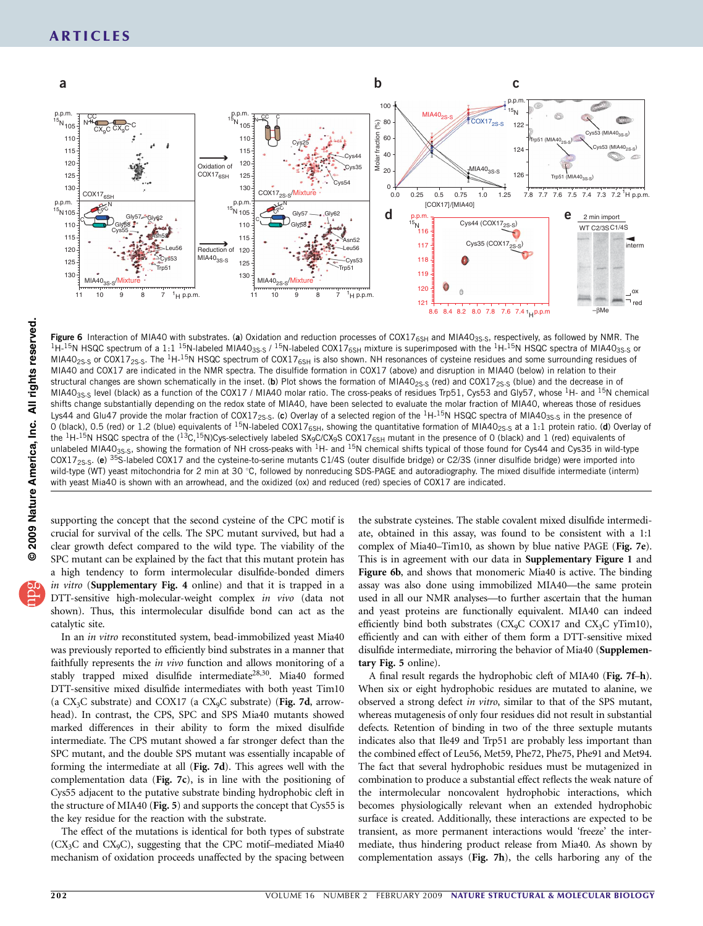

2009 Nature America, Inc. All rights reserved. **© 2009 Nature America, Inc. All rights reserved.**

Figure 6 Interaction of MIA40 with substrates. (a) Oxidation and reduction processes of COX17<sub>6SH</sub> and MIA40<sub>3S-S</sub>, respectively, as followed by NMR. The  ${}^{1}$ H- ${}^{15}$ N HSQC spectrum of a 1:1<sup>15</sup>N-labeled MIA40<sub>3S-S</sub> /<sup></sup>  $MIA40<sub>2S-S</sub>$  or COX17<sub>2S-S</sub>. The <sup>1</sup>H-<sup>15</sup>N HSQC spectrum of COX17<sub>6SH</sub> is also shown. NH resonances of cysteine residues and some surrounding residues of MIA40 and COX17 are indicated in the NMR spectra. The disulfide formation in COX17 (above) and disruption in MIA40 (below) in relation to their structural changes are shown schematically in the inset. (b) Plot shows the formation of MIA40<sub>2S-S</sub> (red) and COX17<sub>2S-S</sub> (blue) and the decrease in of MIA40<sub>3S-S</sub> level (black) as a function of the COX17 / MIA40 molar ratio. The cross-peaks of residues Trp51, Cys53 and Gly57, whose <sup>1</sup>H- and <sup>15</sup>N chemical shifts change substantially depending on the redox state of MIA40, have been selected to evaluate the molar fraction of MIA40, whereas those of residues Lys44 and Glu47 provide the molar fraction of COX17<sub>2S-S</sub>. (c) Overlay of a selected region of the <sup>1</sup>H-<sup>15</sup>N HSQC spectra of MIA40<sub>3S-S</sub> in the presence of 0 (black), 0.5 (red) or 1.2 (blue) equivalents of <sup>15</sup>N-labeled COX17<sub>6SH</sub>, showing the quantitative formation of MIA40<sub>2S-S</sub> at a 1:1 protein ratio. (d) Overlay of the  ${}^{1}$ H-<sup>15</sup>N HSQC spectra of the ( ${}^{13}$ C, ${}^{15}$ N)Cys-selectively labeled SX<sub>9</sub>C/CX<sub>9</sub>S COX17<sub>6SH</sub> mutant in the presence of 0 (black) and 1 (red) equivalents of unlabeled MIA40<sub>3S-S</sub>, showing the formation of NH cross-peaks with <sup>1</sup>H- and <sup>15</sup>N chemical shifts typical of those found for Cys44 and Cys35 in wild-type  $COX17_{2S-S}$ . (e) <sup>35</sup>S-labeled COX17 and the cysteine-to-serine mutants C1/4S (outer disulfide bridge) or C2/3S (inner disulfide bridge) were imported into wild-type (WT) yeast mitochondria for 2 min at 30 °C, followed by nonreducing SDS-PAGE and autoradiography. The mixed disulfide intermediate (interm) with yeast Mia40 is shown with an arrowhead, and the oxidized (ox) and reduced (red) species of COX17 are indicated.

supporting the concept that the second cysteine of the CPC motif is crucial for survival of the cells. The SPC mutant survived, but had a clear growth defect compared to the wild type. The viability of the SPC mutant can be explained by the fact that this mutant protein has a high tendency to form intermolecular disulfide-bonded dimers in vitro (Supplementary Fig. 4 online) and that it is trapped in a DTT-sensitive high-molecular-weight complex in vivo (data not shown). Thus, this intermolecular disulfide bond can act as the catalytic site.

In an in vitro reconstituted system, bead-immobilized yeast Mia40 was previously reported to efficiently bind substrates in a manner that faithfully represents the in vivo function and allows monitoring of a stably trapped mixed disulfide intermediate<sup>28,30</sup>. Mia40 formed DTT-sensitive mixed disulfide intermediates with both yeast Tim10 (a  $CX_3C$  substrate) and  $COX17$  (a  $CX_9C$  substrate) (Fig. 7d, arrowhead). In contrast, the CPS, SPC and SPS Mia40 mutants showed marked differences in their ability to form the mixed disulfide intermediate. The CPS mutant showed a far stronger defect than the SPC mutant, and the double SPS mutant was essentially incapable of forming the intermediate at all (Fig. 7d). This agrees well with the complementation data (Fig. 7c), is in line with the positioning of Cys55 adjacent to the putative substrate binding hydrophobic cleft in the structure of MIA40 (Fig. 5) and supports the concept that Cys55 is the key residue for the reaction with the substrate.

The effect of the mutations is identical for both types of substrate  $(CX_3C$  and  $CX_9C)$ , suggesting that the CPC motif-mediated Mia40 mechanism of oxidation proceeds unaffected by the spacing between the substrate cysteines. The stable covalent mixed disulfide intermediate, obtained in this assay, was found to be consistent with a 1:1 complex of Mia40–Tim10, as shown by blue native PAGE (Fig. 7e). This is in agreement with our data in Supplementary Figure 1 and Figure 6b, and shows that monomeric Mia40 is active. The binding assay was also done using immobilized MIA40—the same protein used in all our NMR analyses—to further ascertain that the human and yeast proteins are functionally equivalent. MIA40 can indeed efficiently bind both substrates (CX<sub>9</sub>C COX17 and CX<sub>3</sub>C yTim10), efficiently and can with either of them form a DTT-sensitive mixed disulfide intermediate, mirroring the behavior of Mia40 (Supplementary Fig. 5 online).

A final result regards the hydrophobic cleft of MIA40 (Fig. 7f–h). When six or eight hydrophobic residues are mutated to alanine, we observed a strong defect in vitro, similar to that of the SPS mutant, whereas mutagenesis of only four residues did not result in substantial defects. Retention of binding in two of the three sextuple mutants indicates also that Ile49 and Trp51 are probably less important than the combined effect of Leu56, Met59, Phe72, Phe75, Phe91 and Met94. The fact that several hydrophobic residues must be mutagenized in combination to produce a substantial effect reflects the weak nature of the intermolecular noncovalent hydrophobic interactions, which becomes physiologically relevant when an extended hydrophobic surface is created. Additionally, these interactions are expected to be transient, as more permanent interactions would 'freeze' the intermediate, thus hindering product release from Mia40. As shown by complementation assays (Fig. 7h), the cells harboring any of the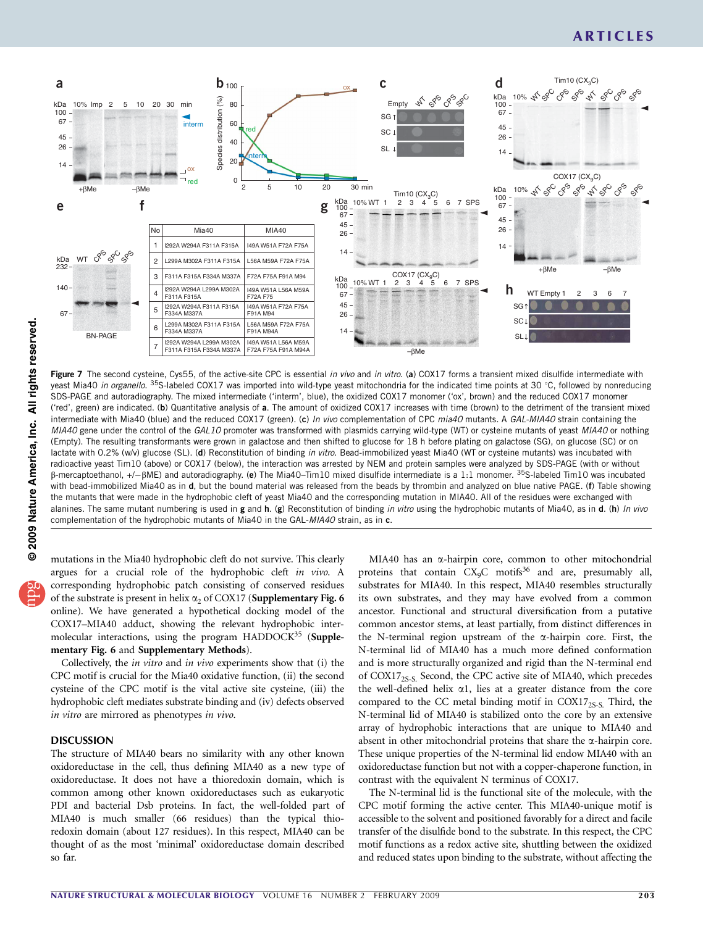# ARTICLES



© 2009 Nature America, Inc. All rights reserved. **© 2009 Nature America, Inc. All rights reserved.**

Figure 7 The second cysteine, Cys55, of the active-site CPC is essential in vivo and in vitro. (a) COX17 forms a transient mixed disulfide intermediate with yeast Mia40 in organello. <sup>35</sup>S-labeled COX17 was imported into wild-type yeast mitochondria for the indicated time points at 30 °C, followed by nonreducing SDS-PAGE and autoradiography. The mixed intermediate ('interm', blue), the oxidized COX17 monomer ('ox', brown) and the reduced COX17 monomer ('red', green) are indicated. (b) Quantitative analysis of a. The amount of oxidized COX17 increases with time (brown) to the detriment of the transient mixed intermediate with Mia40 (blue) and the reduced COX17 (green). (c) In vivo complementation of CPC mia40 mutants. A GAL-MIA40 strain containing the MIA40 gene under the control of the GAL10 promoter was transformed with plasmids carrying wild-type (WT) or cysteine mutants of yeast MIA40 or nothing (Empty). The resulting transformants were grown in galactose and then shifted to glucose for 18 h before plating on galactose (SG), on glucose (SC) or on lactate with 0.2% (w/v) glucose (SL). (d) Reconstitution of binding in vitro. Bead-immobilized yeast Mia40 (WT or cysteine mutants) was incubated with radioactive yeast Tim10 (above) or COX17 (below), the interaction was arrested by NEM and protein samples were analyzed by SDS-PAGE (with or without  $\beta$ -mercaptoethanol, +/- $\beta$ ME) and autoradiography. (e) The Mia40–Tim10 mixed disulfide intermediate is a 1:1 monomer.  $35$ S-labeled Tim10 was incubated with bead-immobilized Mia40 as in d, but the bound material was released from the beads by thrombin and analyzed on blue native PAGE. (f) Table showing the mutants that were made in the hydrophobic cleft of yeast Mia40 and the corresponding mutation in MIA40. All of the residues were exchanged with alanines. The same mutant numbering is used in g and h. (g) Reconstitution of binding in vitro using the hydrophobic mutants of Mia40, as in d. (h) In vivo complementation of the hydrophobic mutants of Mia40 in the GAL-MIA40 strain, as in c.

mutations in the Mia40 hydrophobic cleft do not survive. This clearly argues for a crucial role of the hydrophobic cleft in vivo. A corresponding hydrophobic patch consisting of conserved residues of the substrate is present in helix  $\alpha_2$  of COX17 (Supplementary Fig. 6 online). We have generated a hypothetical docking model of the COX17–MIA40 adduct, showing the relevant hydrophobic intermolecular interactions, using the program HADDOC $K^{35}$  $K^{35}$  $K^{35}$  (Supplementary Fig. 6 and Supplementary Methods).

Collectively, the in vitro and in vivo experiments show that (i) the CPC motif is crucial for the Mia40 oxidative function, (ii) the second cysteine of the CPC motif is the vital active site cysteine, (iii) the hydrophobic cleft mediates substrate binding and (iv) defects observed in vitro are mirrored as phenotypes in vivo.

### DISCUSSION

The structure of MIA40 bears no similarity with any other known oxidoreductase in the cell, thus defining MIA40 as a new type of oxidoreductase. It does not have a thioredoxin domain, which is common among other known oxidoreductases such as eukaryotic PDI and bacterial Dsb proteins. In fact, the well-folded part of MIA40 is much smaller (66 residues) than the typical thioredoxin domain (about 127 residues). In this respect, MIA40 can be thought of as the most 'minimal' oxidoreductase domain described so far.

MIA40 has an  $\alpha$ -hairpin core, common to other mitochondrial proteins that contain  $CX<sub>9</sub>C$  motifs<sup>36</sup> and are, presumably all, substrates for MIA40. In this respect, MIA40 resembles structurally its own substrates, and they may have evolved from a common ancestor. Functional and structural diversification from a putative common ancestor stems, at least partially, from distinct differences in the N-terminal region upstream of the  $\alpha$ -hairpin core. First, the N-terminal lid of MIA40 has a much more defined conformation and is more structurally organized and rigid than the N-terminal end of COX17<sub>2S-S.</sub> Second, the CPC active site of MIA40, which precedes the well-defined helix  $\alpha$ 1, lies at a greater distance from the core compared to the CC metal binding motif in  $COX17_{2S-S}$ . Third, the N-terminal lid of MIA40 is stabilized onto the core by an extensive array of hydrophobic interactions that are unique to MIA40 and absent in other mitochondrial proteins that share the  $\alpha$ -hairpin core. These unique properties of the N-terminal lid endow MIA40 with an oxidoreductase function but not with a copper-chaperone function, in contrast with the equivalent N terminus of COX17.

The N-terminal lid is the functional site of the molecule, with the CPC motif forming the active center. This MIA40-unique motif is accessible to the solvent and positioned favorably for a direct and facile transfer of the disulfide bond to the substrate. In this respect, the CPC motif functions as a redox active site, shuttling between the oxidized and reduced states upon binding to the substrate, without affecting the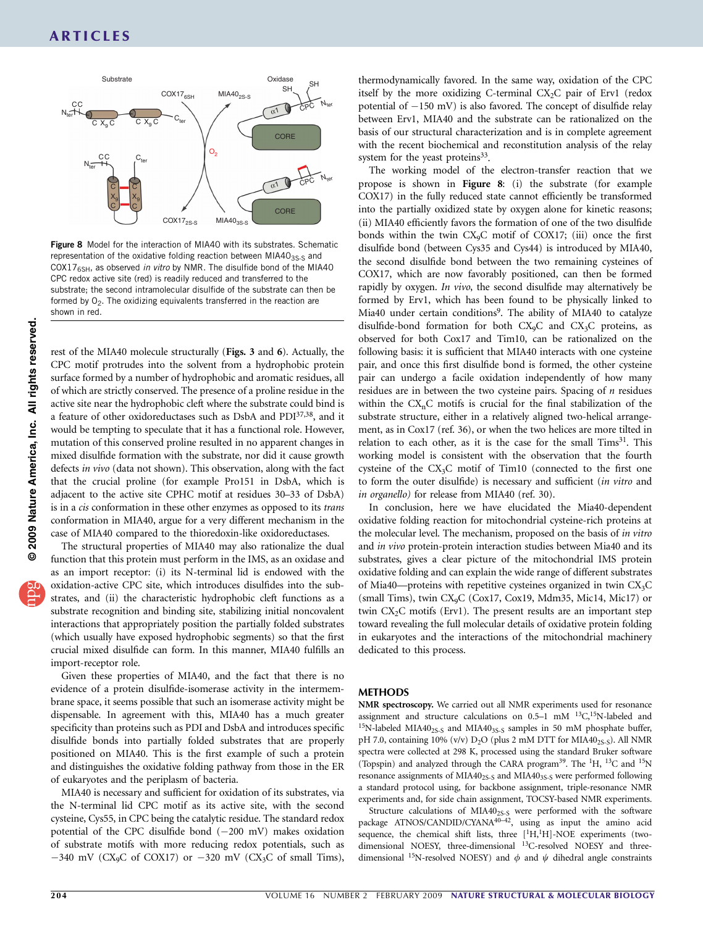

Figure 8 Model for the interaction of MIA40 with its substrates. Schematic representation of the oxidative folding reaction between MIA403S-S and COX17 $_{6SH}$ , as observed in vitro by NMR. The disulfide bond of the MIA40 CPC redox active site (red) is readily reduced and transferred to the substrate; the second intramolecular disulfide of the substrate can then be formed by  $O_2$ . The oxidizing equivalents transferred in the reaction are shown in red.

rest of the MIA40 molecule structurally (Figs. 3 and 6). Actually, the CPC motif protrudes into the solvent from a hydrophobic protein surface formed by a number of hydrophobic and aromatic residues, all of which are strictly conserved. The presence of a proline residue in the active site near the hydrophobic cleft where the substrate could bind is a feature of other oxidoreductases such as DsbA and PD[I37,38](#page-8-0), and it would be tempting to speculate that it has a functional role. However, mutation of this conserved proline resulted in no apparent changes in mixed disulfide formation with the substrate, nor did it cause growth defects in vivo (data not shown). This observation, along with the fact that the crucial proline (for example Pro151 in DsbA, which is adjacent to the active site CPHC motif at residues 30–33 of DsbA) is in a cis conformation in these other enzymes as opposed to its trans conformation in MIA40, argue for a very different mechanism in the case of MIA40 compared to the thioredoxin-like oxidoreductases.

The structural properties of MIA40 may also rationalize the dual function that this protein must perform in the IMS, as an oxidase and as an import receptor: (i) its N-terminal lid is endowed with the oxidation-active CPC site, which introduces disulfides into the substrates, and (ii) the characteristic hydrophobic cleft functions as a substrate recognition and binding site, stabilizing initial noncovalent interactions that appropriately position the partially folded substrates (which usually have exposed hydrophobic segments) so that the first crucial mixed disulfide can form. In this manner, MIA40 fulfills an import-receptor role.

Given these properties of MIA40, and the fact that there is no evidence of a protein disulfide-isomerase activity in the intermembrane space, it seems possible that such an isomerase activity might be dispensable. In agreement with this, MIA40 has a much greater specificity than proteins such as PDI and DsbA and introduces specific disulfide bonds into partially folded substrates that are properly positioned on MIA40. This is the first example of such a protein and distinguishes the oxidative folding pathway from those in the ER of eukaryotes and the periplasm of bacteria.

MIA40 is necessary and sufficient for oxidation of its substrates, via the N-terminal lid CPC motif as its active site, with the second cysteine, Cys55, in CPC being the catalytic residue. The standard redox potential of the CPC disulfide bond  $(-200 \text{ mV})$  makes oxidation of substrate motifs with more reducing redox potentials, such as  $-340$  mV (CX<sub>9</sub>C of COX17) or  $-320$  mV (CX<sub>3</sub>C of small Tims),

thermodynamically favored. In the same way, oxidation of the CPC itself by the more oxidizing C-terminal  $CX_2C$  pair of Erv1 (redox potential of  $-150$  mV) is also favored. The concept of disulfide relay between Erv1, MIA40 and the substrate can be rationalized on the basis of our structural characterization and is in complete agreement with the recent biochemical and reconstitution analysis of the relay system for the yeast proteins $33$ .

The working model of the electron-transfer reaction that we propose is shown in Figure 8: (i) the substrate (for example COX17) in the fully reduced state cannot efficiently be transformed into the partially oxidized state by oxygen alone for kinetic reasons; (ii) MIA40 efficiently favors the formation of one of the two disulfide bonds within the twin CX9C motif of COX17; (iii) once the first disulfide bond (between Cys35 and Cys44) is introduced by MIA40, the second disulfide bond between the two remaining cysteines of COX17, which are now favorably positioned, can then be formed rapidly by oxygen. In vivo, the second disulfide may alternatively be formed by Erv1, which has been found to be physically linked to Mia40 under certain conditions<sup>9</sup>. The ability of MIA40 to catalyze disulfide-bond formation for both  $CX_9C$  and  $CX_3C$  proteins, as observed for both Cox17 and Tim10, can be rationalized on the following basis: it is sufficient that MIA40 interacts with one cysteine pair, and once this first disulfide bond is formed, the other cysteine pair can undergo a facile oxidation independently of how many residues are in between the two cysteine pairs. Spacing of  $n$  residues within the  $CX_nC$  motifs is crucial for the final stabilization of the substrate structure, either in a relatively aligned two-helical arrangement, as in Cox17 (ref. 36), or when the two helices are more tilted in relation to each other, as it is the case for the small  $Tims<sup>31</sup>$ . This working model is consistent with the observation that the fourth cysteine of the CX3C motif of Tim10 (connected to the first one to form the outer disulfide) is necessary and sufficient (in vitro and in organello) for release from MIA40 (ref. 30).

In conclusion, here we have elucidated the Mia40-dependent oxidative folding reaction for mitochondrial cysteine-rich proteins at the molecular level. The mechanism, proposed on the basis of in vitro and in vivo protein-protein interaction studies between Mia40 and its substrates, gives a clear picture of the mitochondrial IMS protein oxidative folding and can explain the wide range of different substrates of Mia40—proteins with repetitive cysteines organized in twin  $CX<sub>3</sub>C$ (small Tims), twin CX9C (Cox17, Cox19, Mdm35, Mic14, Mic17) or twin  $CX<sub>2</sub>C$  motifs (Erv1). The present results are an important step toward revealing the full molecular details of oxidative protein folding in eukaryotes and the interactions of the mitochondrial machinery dedicated to this process.

### METHODS

NMR spectroscopy. We carried out all NMR experiments used for resonance assignment and structure calculations on  $0.5-1$  mM  $^{13}C$ ,  $^{15}N$ -labeled and  $15N$ -labeled MIA40<sub>2S-S</sub> and MIA40<sub>3S-S</sub> samples in 50 mM phosphate buffer, pH 7.0, containing 10% (v/v) D<sub>2</sub>O (plus 2 mM DTT for MIA40<sub>2S-S</sub>). All NMR spectra were collected at 298 K, processed using the standard Bruker software (Topspin) and analyzed through the CARA program<sup>39</sup>. The <sup>1</sup>H, <sup>13</sup>C and <sup>15</sup>N resonance assignments of MIA40<sub>2S-S</sub> and MIA40<sub>3S-S</sub> were performed following a standard protocol using, for backbone assignment, triple-resonance NMR experiments and, for side chain assignment, TOCSY-based NMR experiments.

Structure calculations of MIA40<sub>2S-S</sub> were performed with the software package ATNOS/CANDID/CYANA<sup>40-42</sup>, using as input the amino acid sequence, the chemical shift lists, three [<sup>1</sup>H,<sup>1</sup>H]-NOE experiments (twodimensional NOESY, three-dimensional <sup>13</sup>C-resolved NOESY and threedimensional <sup>15</sup>N-resolved NOESY) and  $\phi$  and  $\psi$  dihedral angle constraints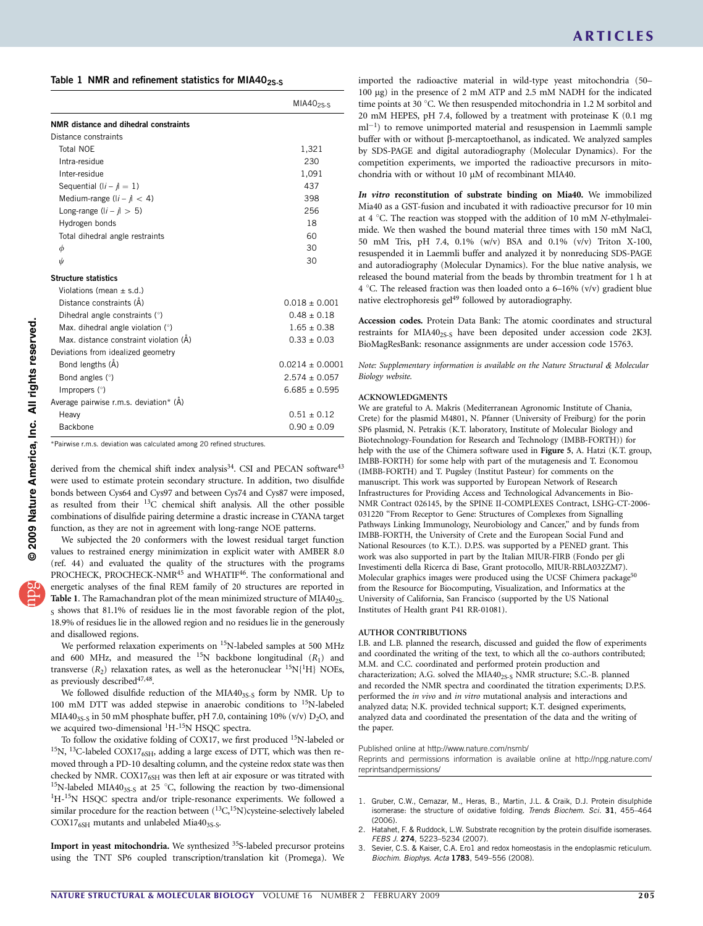<span id="page-7-0"></span>Table 1 NMR and refinement statistics for MIA40 $_{25-5}$ 

|                                        | $MIA40$ <sub>25-S</sub> |
|----------------------------------------|-------------------------|
| NMR distance and dihedral constraints  |                         |
| Distance constraints                   |                         |
| Total NOE                              | 1,321                   |
| Intra-residue                          | 230                     |
| Inter-residue                          | 1,091                   |
| Sequential $(li - j) = 1$              | 437                     |
| Medium-range $(l - j < 4)$             | 398                     |
| Long-range $(l - l > 5)$               | 256                     |
| Hydrogen bonds                         | 18                      |
| Total dihedral angle restraints        | 60                      |
| φ                                      | 30                      |
| ψ                                      | 30                      |
| <b>Structure statistics</b>            |                         |
| Violations (mean $\pm$ s.d.)           |                         |
| Distance constraints (Å)               | $0.018 + 0.001$         |
| Dihedral angle constraints (°)         | $0.48 \pm 0.18$         |
| Max. dihedral angle violation $(°)$    | $1.65 \pm 0.38$         |
| Max. distance constraint violation (Å) | $0.33 + 0.03$           |
| Deviations from idealized geometry     |                         |
| Bond lengths (A)                       | $0.0214 + 0.0001$       |
| Bond angles (°)                        | $2.574 + 0.057$         |
| Impropers $(°)$                        | $6.685 \pm 0.595$       |
| Average pairwise r.m.s. deviation* (A) |                         |
| Heavy                                  | $0.51 + 0.12$           |
| Backbone                               | $0.90 \pm 0.09$         |

\*Pairwise r.m.s. deviation was calculated among 20 refined structures.

derived from the chemical shift index analysis<sup>[34](#page-8-0)</sup>. CSI and PECAN software<sup>43</sup> were used to estimate protein secondary structure. In addition, two disulfide bonds between Cys64 and Cys97 and between Cys74 and Cys87 were imposed, as resulted from their 13C chemical shift analysis. All the other possible combinations of disulfide pairing determine a drastic increase in CYANA target function, as they are not in agreement with long-range NOE patterns.

We subjected the 20 conformers with the lowest residual target function values to restrained energy minimization in explicit water with AMBER 8.0 (ref. 44) and evaluated the quality of the structures with the programs PROCHECK, PROCHECK-NMR<sup>[45](#page-8-0)</sup> and WHATIF<sup>46</sup>. The conformational and energetic analyses of the final REM family of 20 structures are reported in Table 1. The Ramachandran plot of the mean minimized structure of MIA40<sub>2S-</sub>  $_S$  shows that 81.1% of residues lie in the most favorable region of the plot, 18.9% of residues lie in the allowed region and no residues lie in the generously and disallowed regions.

We performed relaxation experiments on 15N-labeled samples at 500 MHz and 600 MHz, and measured the <sup>15</sup>N backbone longitudinal  $(R_1)$  and transverse  $(R_2)$  relaxation rates, as well as the heteronuclear <sup>15</sup>N{<sup>1</sup>H} NOEs, as previously described<sup>47,48</sup>.

We followed disulfide reduction of the MIA40<sub>3S-S</sub> form by NMR. Up to 100 mM DTT was added stepwise in anaerobic conditions to 15N-labeled MIA40<sub>3S-S</sub> in 50 mM phosphate buffer, pH 7.0, containing 10% (v/v)  $D_2O$ , and we acquired two-dimensional <sup>1</sup>H-<sup>15</sup>N HSQC spectra.

To follow the oxidative folding of COX17, we first produced <sup>15</sup>N-labeled or  $^{15}{\rm N},~^{13}{\rm C}$  -labeled COX17 $_{6{\rm SH}}$  adding a large excess of DTT, which was then removed through a PD-10 desalting column, and the cysteine redox state was then checked by NMR. COX17<sub>6SH</sub> was then left at air exposure or was titrated with <sup>15</sup>N-labeled MIA40<sub>3S-S</sub> at 25 °C, following the reaction by two-dimensional <sup>1</sup>H-<sup>15</sup>N HSQC spectra and/or triple-resonance experiments. We followed a similar procedure for the reaction between  $(^{13}C,^{15}N)$ cysteine-selectively labeled  $COX17<sub>6SH</sub>$  mutants and unlabeled Mia40<sub>3S-S</sub>.

Import in yeast mitochondria. We synthesized <sup>35</sup>S-labeled precursor proteins using the TNT SP6 coupled transcription/translation kit (Promega). We

imported the radioactive material in wild-type yeast mitochondria (50– 100 mg) in the presence of 2 mM ATP and 2.5 mM NADH for the indicated time points at 30  $^{\circ}$ C. We then resuspended mitochondria in 1.2 M sorbitol and 20 mM HEPES, pH 7.4, followed by a treatment with proteinase K (0.1 mg ml<sup>-1</sup>) to remove unimported material and resuspension in Laemmli sample buffer with or without  $\beta$ -mercaptoethanol, as indicated. We analyzed samples by SDS-PAGE and digital autoradiography (Molecular Dynamics). For the competition experiments, we imported the radioactive precursors in mitochondria with or without 10 µM of recombinant MIA40.

In vitro reconstitution of substrate binding on Mia40. We immobilized Mia40 as a GST-fusion and incubated it with radioactive precursor for 10 min at 4  $\degree$ C. The reaction was stopped with the addition of 10 mM N-ethylmaleimide. We then washed the bound material three times with 150 mM NaCl, 50 mM Tris, pH 7.4, 0.1% (w/v) BSA and 0.1% (v/v) Triton X-100, resuspended it in Laemmli buffer and analyzed it by nonreducing SDS-PAGE and autoradiography (Molecular Dynamics). For the blue native analysis, we released the bound material from the beads by thrombin treatment for 1 h at 4 °C. The released fraction was then loaded onto a 6–16% (v/v) gradient blue native electrophoresis gel<sup>49</sup> followed by autoradiography.

Accession codes. Protein Data Bank: The atomic coordinates and structural restraints for MIA40<sub>2S-S</sub> have been deposited under accession code 2K3J. BioMagResBank: resonance assignments are under accession code 15763.

Note: Supplementary information is available on the [Nature Structural](http://www.nature.com/nsmb/) *&* [Molecular](http://www.nature.com/nsmb/) [Biology](http://www.nature.com/nsmb/) website.

### ACKNOWLEDGMENTS

We are grateful to A. Makris (Mediterranean Agronomic Institute of Chania, Crete) for the plasmid M4801, N. Pfanner (University of Freiburg) for the porin SP6 plasmid, N. Petrakis (K.T. laboratory, Institute of Molecular Biology and Biotechnology-Foundation for Research and Technology (IMBB-FORTH)) for help with the use of the Chimera software used in Figure 5, A. Hatzi (K.T. group, IMBB-FORTH) for some help with part of the mutagenesis and T. Economou (IMBB-FORTH) and T. Pugsley (Institut Pasteur) for comments on the manuscript. This work was supported by European Network of Research Infrastructures for Providing Access and Technological Advancements in Bio-NMR Contract 026145, by the SPINE II-COMPLEXES Contract, LSHG-CT-2006- 031220 ''From Receptor to Gene: Structures of Complexes from Signalling Pathways Linking Immunology, Neurobiology and Cancer," and by funds from IMBB-FORTH, the University of Crete and the European Social Fund and National Resources (to K.T.). D.P.S. was supported by a PENED grant. This work was also supported in part by the Italian MIUR-FIRB (Fondo per gli Investimenti della Ricerca di Base, Grant protocollo, MIUR-RBLA032ZM7). Molecular graphics images were produced using the UCSF Chimera package<sup>[50](#page-8-0)</sup> from the Resource for Biocomputing, Visualization, and Informatics at the University of California, San Francisco (supported by the US National Institutes of Health grant P41 RR-01081).

### AUTHOR CONTRIBUTIONS

I.B. and L.B. planned the research, discussed and guided the flow of experiments and coordinated the writing of the text, to which all the co-authors contributed; M.M. and C.C. coordinated and performed protein production and characterization; A.G. solved the MIA40<sub>2S-S</sub> NMR structure; S.C.-B. planned and recorded the NMR spectra and coordinated the titration experiments; D.P.S. performed the in vivo and in vitro mutational analysis and interactions and analyzed data; N.K. provided technical support; K.T. designed experiments, analyzed data and coordinated the presentation of the data and the writing of the paper.

### Published online at<http://www.nature.com/nsmb/>

Reprints and permissions information is available online at [http://npg.nature.com/](http://npg.nature.com/reprintsandpermissions/) [reprintsandpermissions/](http://npg.nature.com/reprintsandpermissions/)

- 1. Gruber, C.W., Cemazar, M., Heras, B., Martin, J.L. & Craik, D.J. Protein disulphide isomerase: the structure of oxidative folding. Trends Biochem. Sci. 31, 455-464 (2006).
- 2. Hatahet, F. & Ruddock, L.W. Substrate recognition by the protein disulfide isomerases. FEBS J. 274, 5223-5234 (2007).
- 3. Sevier, C.S. & Kaiser, C.A. Ero1 and redox homeostasis in the endoplasmic reticulum. Biochim. Biophys. Acta 1783, 549-556 (2008).